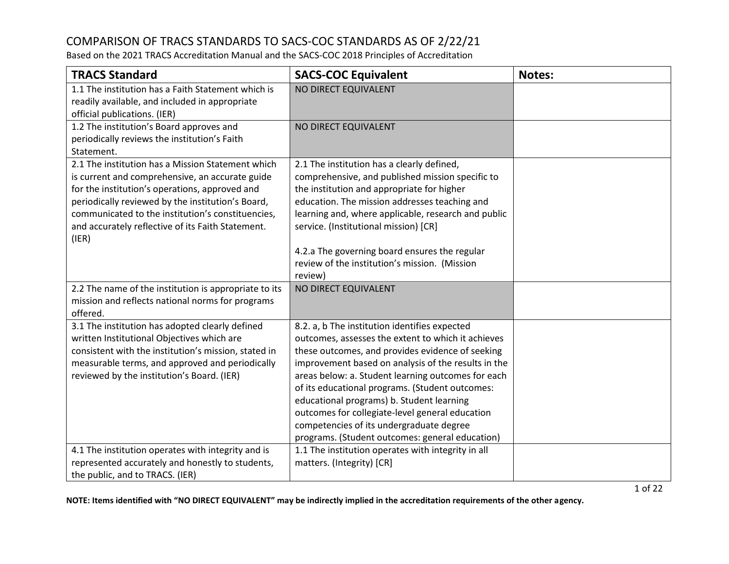Based on the 2021 TRACS Accreditation Manual and the SACS-COC 2018 Principles of Accreditation

| <b>TRACS Standard</b>                                                                                                                                                                                                                                                                                                          | <b>SACS-COC Equivalent</b>                                                                                                                                                                                                                                                                                                                                                                                                                                                                                             | <b>Notes:</b> |
|--------------------------------------------------------------------------------------------------------------------------------------------------------------------------------------------------------------------------------------------------------------------------------------------------------------------------------|------------------------------------------------------------------------------------------------------------------------------------------------------------------------------------------------------------------------------------------------------------------------------------------------------------------------------------------------------------------------------------------------------------------------------------------------------------------------------------------------------------------------|---------------|
| 1.1 The institution has a Faith Statement which is<br>readily available, and included in appropriate<br>official publications. (IER)                                                                                                                                                                                           | NO DIRECT EQUIVALENT                                                                                                                                                                                                                                                                                                                                                                                                                                                                                                   |               |
| 1.2 The institution's Board approves and<br>periodically reviews the institution's Faith<br>Statement.                                                                                                                                                                                                                         | NO DIRECT EQUIVALENT                                                                                                                                                                                                                                                                                                                                                                                                                                                                                                   |               |
| 2.1 The institution has a Mission Statement which<br>is current and comprehensive, an accurate guide<br>for the institution's operations, approved and<br>periodically reviewed by the institution's Board,<br>communicated to the institution's constituencies,<br>and accurately reflective of its Faith Statement.<br>(IER) | 2.1 The institution has a clearly defined,<br>comprehensive, and published mission specific to<br>the institution and appropriate for higher<br>education. The mission addresses teaching and<br>learning and, where applicable, research and public<br>service. (Institutional mission) [CR]<br>4.2.a The governing board ensures the regular<br>review of the institution's mission. (Mission<br>review)                                                                                                             |               |
| 2.2 The name of the institution is appropriate to its<br>mission and reflects national norms for programs<br>offered.                                                                                                                                                                                                          | NO DIRECT EQUIVALENT                                                                                                                                                                                                                                                                                                                                                                                                                                                                                                   |               |
| 3.1 The institution has adopted clearly defined<br>written Institutional Objectives which are<br>consistent with the institution's mission, stated in<br>measurable terms, and approved and periodically<br>reviewed by the institution's Board. (IER)                                                                         | 8.2. a, b The institution identifies expected<br>outcomes, assesses the extent to which it achieves<br>these outcomes, and provides evidence of seeking<br>improvement based on analysis of the results in the<br>areas below: a. Student learning outcomes for each<br>of its educational programs. (Student outcomes:<br>educational programs) b. Student learning<br>outcomes for collegiate-level general education<br>competencies of its undergraduate degree<br>programs. (Student outcomes: general education) |               |
| 4.1 The institution operates with integrity and is<br>represented accurately and honestly to students,<br>the public, and to TRACS. (IER)                                                                                                                                                                                      | 1.1 The institution operates with integrity in all<br>matters. (Integrity) [CR]                                                                                                                                                                                                                                                                                                                                                                                                                                        |               |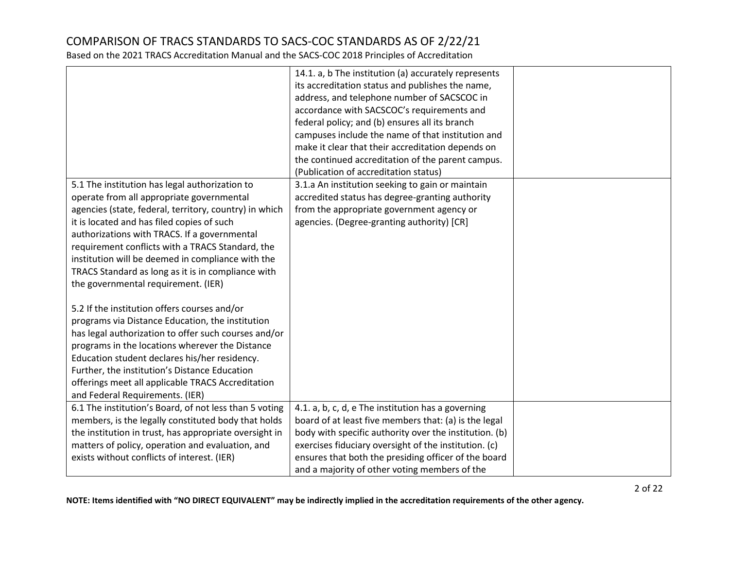|                                                                                                                                                                                                                                                                                                                                                                                                                                                           | 14.1. a, b The institution (a) accurately represents<br>its accreditation status and publishes the name,<br>address, and telephone number of SACSCOC in<br>accordance with SACSCOC's requirements and<br>federal policy; and (b) ensures all its branch<br>campuses include the name of that institution and<br>make it clear that their accreditation depends on<br>the continued accreditation of the parent campus. |  |
|-----------------------------------------------------------------------------------------------------------------------------------------------------------------------------------------------------------------------------------------------------------------------------------------------------------------------------------------------------------------------------------------------------------------------------------------------------------|------------------------------------------------------------------------------------------------------------------------------------------------------------------------------------------------------------------------------------------------------------------------------------------------------------------------------------------------------------------------------------------------------------------------|--|
|                                                                                                                                                                                                                                                                                                                                                                                                                                                           | (Publication of accreditation status)                                                                                                                                                                                                                                                                                                                                                                                  |  |
| 5.1 The institution has legal authorization to<br>operate from all appropriate governmental<br>agencies (state, federal, territory, country) in which<br>it is located and has filed copies of such<br>authorizations with TRACS. If a governmental<br>requirement conflicts with a TRACS Standard, the<br>institution will be deemed in compliance with the<br>TRACS Standard as long as it is in compliance with<br>the governmental requirement. (IER) | 3.1.a An institution seeking to gain or maintain<br>accredited status has degree-granting authority<br>from the appropriate government agency or<br>agencies. (Degree-granting authority) [CR]                                                                                                                                                                                                                         |  |
| 5.2 If the institution offers courses and/or<br>programs via Distance Education, the institution<br>has legal authorization to offer such courses and/or<br>programs in the locations wherever the Distance<br>Education student declares his/her residency.<br>Further, the institution's Distance Education<br>offerings meet all applicable TRACS Accreditation<br>and Federal Requirements. (IER)                                                     |                                                                                                                                                                                                                                                                                                                                                                                                                        |  |
| 6.1 The institution's Board, of not less than 5 voting<br>members, is the legally constituted body that holds<br>the institution in trust, has appropriate oversight in<br>matters of policy, operation and evaluation, and<br>exists without conflicts of interest. (IER)                                                                                                                                                                                | 4.1. a, b, c, d, e The institution has a governing<br>board of at least five members that: (a) is the legal<br>body with specific authority over the institution. (b)<br>exercises fiduciary oversight of the institution. (c)<br>ensures that both the presiding officer of the board<br>and a majority of other voting members of the                                                                                |  |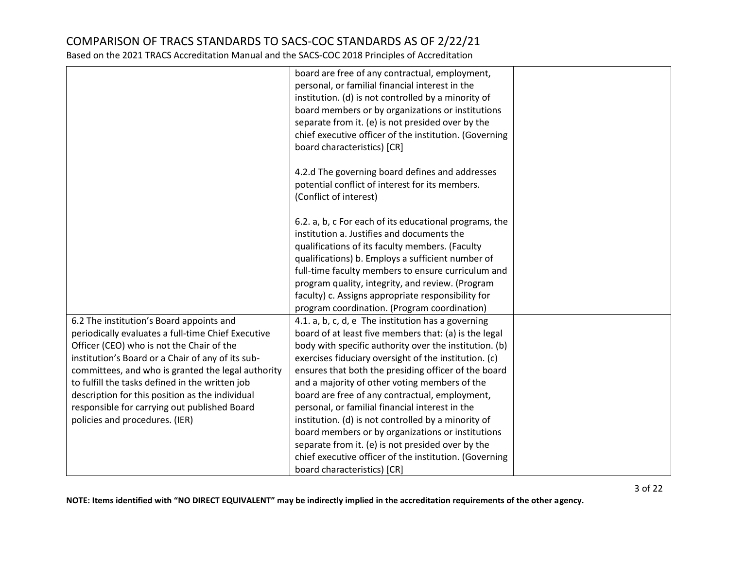|                                                    | board are free of any contractual, employment,         |  |
|----------------------------------------------------|--------------------------------------------------------|--|
|                                                    | personal, or familial financial interest in the        |  |
|                                                    | institution. (d) is not controlled by a minority of    |  |
|                                                    | board members or by organizations or institutions      |  |
|                                                    | separate from it. (e) is not presided over by the      |  |
|                                                    | chief executive officer of the institution. (Governing |  |
|                                                    | board characteristics) [CR]                            |  |
|                                                    |                                                        |  |
|                                                    | 4.2.d The governing board defines and addresses        |  |
|                                                    | potential conflict of interest for its members.        |  |
|                                                    | (Conflict of interest)                                 |  |
|                                                    |                                                        |  |
|                                                    | 6.2. a, b, c For each of its educational programs, the |  |
|                                                    | institution a. Justifies and documents the             |  |
|                                                    | qualifications of its faculty members. (Faculty        |  |
|                                                    | qualifications) b. Employs a sufficient number of      |  |
|                                                    | full-time faculty members to ensure curriculum and     |  |
|                                                    | program quality, integrity, and review. (Program       |  |
|                                                    | faculty) c. Assigns appropriate responsibility for     |  |
|                                                    | program coordination. (Program coordination)           |  |
| 6.2 The institution's Board appoints and           | 4.1. a, b, c, d, e The institution has a governing     |  |
| periodically evaluates a full-time Chief Executive | board of at least five members that: (a) is the legal  |  |
| Officer (CEO) who is not the Chair of the          | body with specific authority over the institution. (b) |  |
| institution's Board or a Chair of any of its sub-  | exercises fiduciary oversight of the institution. (c)  |  |
| committees, and who is granted the legal authority | ensures that both the presiding officer of the board   |  |
| to fulfill the tasks defined in the written job    | and a majority of other voting members of the          |  |
| description for this position as the individual    | board are free of any contractual, employment,         |  |
| responsible for carrying out published Board       | personal, or familial financial interest in the        |  |
| policies and procedures. (IER)                     | institution. (d) is not controlled by a minority of    |  |
|                                                    | board members or by organizations or institutions      |  |
|                                                    | separate from it. (e) is not presided over by the      |  |
|                                                    | chief executive officer of the institution. (Governing |  |
|                                                    | board characteristics) [CR]                            |  |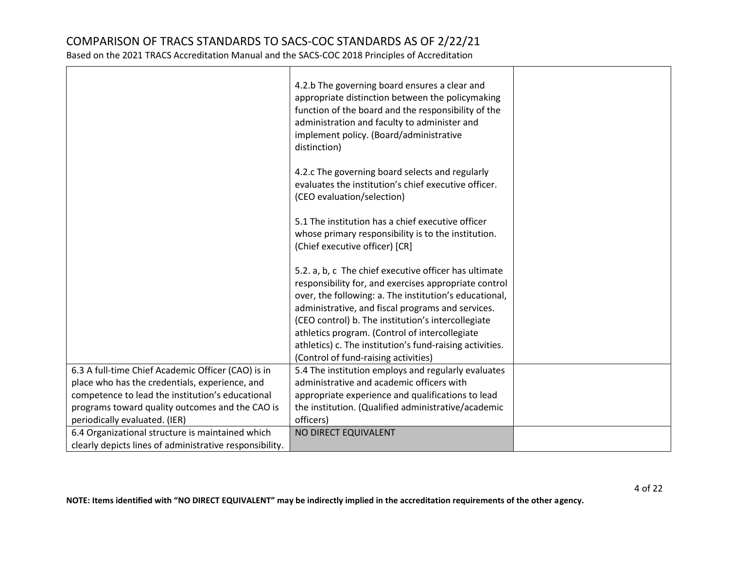|                                                         | 4.2.b The governing board ensures a clear and<br>appropriate distinction between the policymaking<br>function of the board and the responsibility of the<br>administration and faculty to administer and<br>implement policy. (Board/administrative<br>distinction) |  |
|---------------------------------------------------------|---------------------------------------------------------------------------------------------------------------------------------------------------------------------------------------------------------------------------------------------------------------------|--|
|                                                         | 4.2.c The governing board selects and regularly<br>evaluates the institution's chief executive officer.<br>(CEO evaluation/selection)                                                                                                                               |  |
|                                                         | 5.1 The institution has a chief executive officer<br>whose primary responsibility is to the institution.<br>(Chief executive officer) [CR]                                                                                                                          |  |
|                                                         | 5.2. a, b, c The chief executive officer has ultimate<br>responsibility for, and exercises appropriate control<br>over, the following: a. The institution's educational,<br>administrative, and fiscal programs and services.                                       |  |
|                                                         | (CEO control) b. The institution's intercollegiate<br>athletics program. (Control of intercollegiate<br>athletics) c. The institution's fund-raising activities.<br>(Control of fund-raising activities)                                                            |  |
| 6.3 A full-time Chief Academic Officer (CAO) is in      | 5.4 The institution employs and regularly evaluates                                                                                                                                                                                                                 |  |
| place who has the credentials, experience, and          | administrative and academic officers with                                                                                                                                                                                                                           |  |
| competence to lead the institution's educational        | appropriate experience and qualifications to lead                                                                                                                                                                                                                   |  |
| programs toward quality outcomes and the CAO is         | the institution. (Qualified administrative/academic                                                                                                                                                                                                                 |  |
| periodically evaluated. (IER)                           | officers)                                                                                                                                                                                                                                                           |  |
| 6.4 Organizational structure is maintained which        | NO DIRECT EQUIVALENT                                                                                                                                                                                                                                                |  |
| clearly depicts lines of administrative responsibility. |                                                                                                                                                                                                                                                                     |  |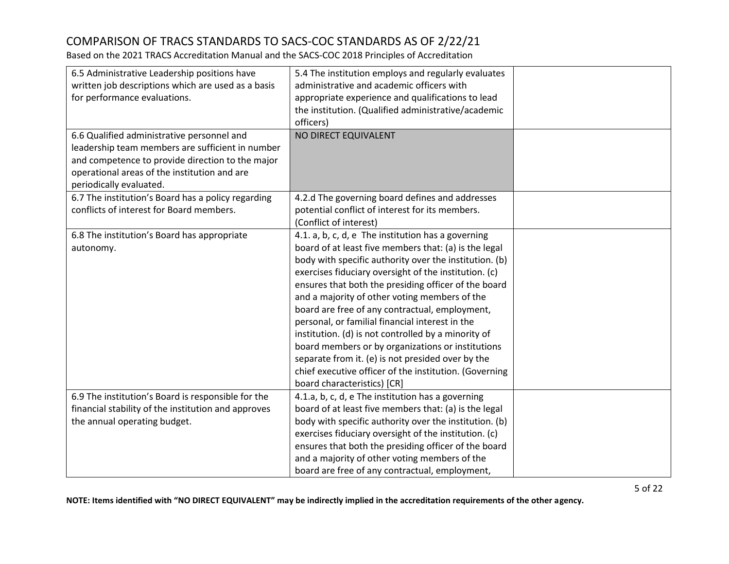Based on the 2021 TRACS Accreditation Manual and the SACS-COC 2018 Principles of Accreditation

| 6.5 Administrative Leadership positions have<br>written job descriptions which are used as a basis<br>for performance evaluations.<br>6.6 Qualified administrative personnel and<br>leadership team members are sufficient in number<br>and competence to provide direction to the major<br>operational areas of the institution and are<br>periodically evaluated. | 5.4 The institution employs and regularly evaluates<br>administrative and academic officers with<br>appropriate experience and qualifications to lead<br>the institution. (Qualified administrative/academic<br>officers)<br>NO DIRECT EQUIVALENT                                                                                                                                                                                                                                                                                                                                                                                                                                                      |  |
|---------------------------------------------------------------------------------------------------------------------------------------------------------------------------------------------------------------------------------------------------------------------------------------------------------------------------------------------------------------------|--------------------------------------------------------------------------------------------------------------------------------------------------------------------------------------------------------------------------------------------------------------------------------------------------------------------------------------------------------------------------------------------------------------------------------------------------------------------------------------------------------------------------------------------------------------------------------------------------------------------------------------------------------------------------------------------------------|--|
| 6.7 The institution's Board has a policy regarding<br>conflicts of interest for Board members.                                                                                                                                                                                                                                                                      | 4.2.d The governing board defines and addresses<br>potential conflict of interest for its members.<br>(Conflict of interest)                                                                                                                                                                                                                                                                                                                                                                                                                                                                                                                                                                           |  |
| 6.8 The institution's Board has appropriate<br>autonomy.                                                                                                                                                                                                                                                                                                            | 4.1. a, b, c, d, e The institution has a governing<br>board of at least five members that: (a) is the legal<br>body with specific authority over the institution. (b)<br>exercises fiduciary oversight of the institution. (c)<br>ensures that both the presiding officer of the board<br>and a majority of other voting members of the<br>board are free of any contractual, employment,<br>personal, or familial financial interest in the<br>institution. (d) is not controlled by a minority of<br>board members or by organizations or institutions<br>separate from it. (e) is not presided over by the<br>chief executive officer of the institution. (Governing<br>board characteristics) [CR] |  |
| 6.9 The institution's Board is responsible for the<br>financial stability of the institution and approves<br>the annual operating budget.                                                                                                                                                                                                                           | 4.1.a, b, c, d, e The institution has a governing<br>board of at least five members that: (a) is the legal<br>body with specific authority over the institution. (b)<br>exercises fiduciary oversight of the institution. (c)<br>ensures that both the presiding officer of the board<br>and a majority of other voting members of the<br>board are free of any contractual, employment,                                                                                                                                                                                                                                                                                                               |  |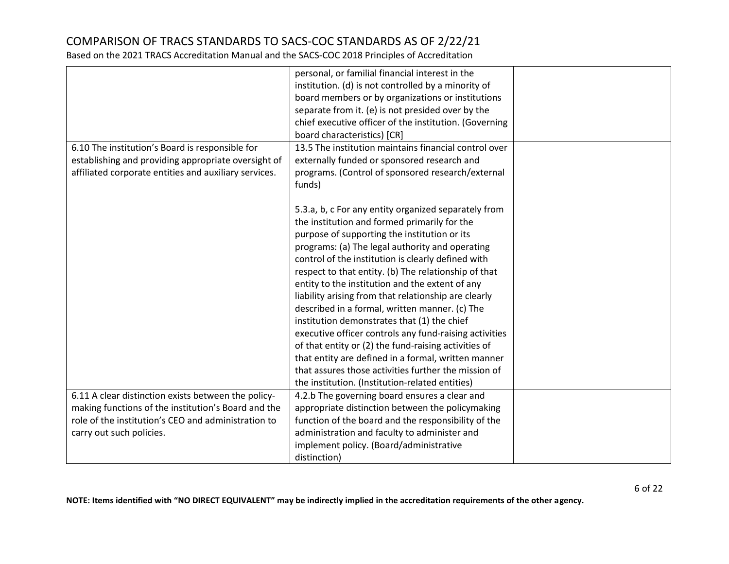|                                                       | personal, or familial financial interest in the                                                          |  |
|-------------------------------------------------------|----------------------------------------------------------------------------------------------------------|--|
|                                                       | institution. (d) is not controlled by a minority of<br>board members or by organizations or institutions |  |
|                                                       | separate from it. (e) is not presided over by the                                                        |  |
|                                                       | chief executive officer of the institution. (Governing                                                   |  |
|                                                       | board characteristics) [CR]                                                                              |  |
| 6.10 The institution's Board is responsible for       | 13.5 The institution maintains financial control over                                                    |  |
| establishing and providing appropriate oversight of   | externally funded or sponsored research and                                                              |  |
| affiliated corporate entities and auxiliary services. | programs. (Control of sponsored research/external                                                        |  |
|                                                       | funds)                                                                                                   |  |
|                                                       |                                                                                                          |  |
|                                                       | 5.3.a, b, c For any entity organized separately from                                                     |  |
|                                                       | the institution and formed primarily for the                                                             |  |
|                                                       | purpose of supporting the institution or its                                                             |  |
|                                                       |                                                                                                          |  |
|                                                       | programs: (a) The legal authority and operating                                                          |  |
|                                                       | control of the institution is clearly defined with                                                       |  |
|                                                       | respect to that entity. (b) The relationship of that                                                     |  |
|                                                       | entity to the institution and the extent of any                                                          |  |
|                                                       | liability arising from that relationship are clearly                                                     |  |
|                                                       | described in a formal, written manner. (c) The                                                           |  |
|                                                       | institution demonstrates that (1) the chief                                                              |  |
|                                                       | executive officer controls any fund-raising activities                                                   |  |
|                                                       | of that entity or (2) the fund-raising activities of                                                     |  |
|                                                       | that entity are defined in a formal, written manner                                                      |  |
|                                                       | that assures those activities further the mission of                                                     |  |
|                                                       | the institution. (Institution-related entities)                                                          |  |
| 6.11 A clear distinction exists between the policy-   | 4.2.b The governing board ensures a clear and                                                            |  |
| making functions of the institution's Board and the   | appropriate distinction between the policymaking                                                         |  |
| role of the institution's CEO and administration to   | function of the board and the responsibility of the                                                      |  |
| carry out such policies.                              | administration and faculty to administer and                                                             |  |
|                                                       | implement policy. (Board/administrative                                                                  |  |
|                                                       | distinction)                                                                                             |  |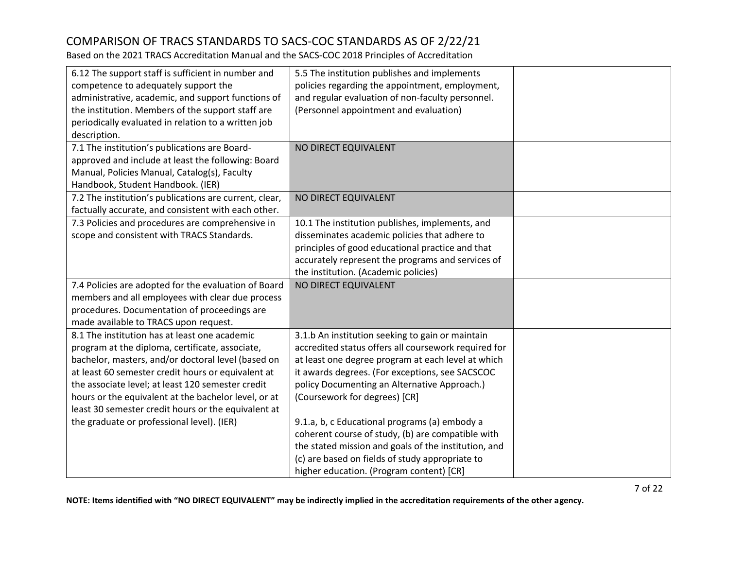Based on the 2021 TRACS Accreditation Manual and the SACS-COC 2018 Principles of Accreditation

| 6.12 The support staff is sufficient in number and<br>competence to adequately support the<br>administrative, academic, and support functions of<br>the institution. Members of the support staff are<br>periodically evaluated in relation to a written job                                                                                                                                                                   | 5.5 The institution publishes and implements<br>policies regarding the appointment, employment,<br>and regular evaluation of non-faculty personnel.<br>(Personnel appointment and evaluation)                                                                                                                                                       |  |
|--------------------------------------------------------------------------------------------------------------------------------------------------------------------------------------------------------------------------------------------------------------------------------------------------------------------------------------------------------------------------------------------------------------------------------|-----------------------------------------------------------------------------------------------------------------------------------------------------------------------------------------------------------------------------------------------------------------------------------------------------------------------------------------------------|--|
| description.<br>7.1 The institution's publications are Board-<br>approved and include at least the following: Board<br>Manual, Policies Manual, Catalog(s), Faculty                                                                                                                                                                                                                                                            | NO DIRECT EQUIVALENT                                                                                                                                                                                                                                                                                                                                |  |
| Handbook, Student Handbook. (IER)<br>7.2 The institution's publications are current, clear,<br>factually accurate, and consistent with each other.                                                                                                                                                                                                                                                                             | NO DIRECT EQUIVALENT                                                                                                                                                                                                                                                                                                                                |  |
| 7.3 Policies and procedures are comprehensive in<br>scope and consistent with TRACS Standards.                                                                                                                                                                                                                                                                                                                                 | 10.1 The institution publishes, implements, and<br>disseminates academic policies that adhere to<br>principles of good educational practice and that<br>accurately represent the programs and services of<br>the institution. (Academic policies)                                                                                                   |  |
| 7.4 Policies are adopted for the evaluation of Board<br>members and all employees with clear due process<br>procedures. Documentation of proceedings are<br>made available to TRACS upon request.                                                                                                                                                                                                                              | NO DIRECT EQUIVALENT                                                                                                                                                                                                                                                                                                                                |  |
| 8.1 The institution has at least one academic<br>program at the diploma, certificate, associate,<br>bachelor, masters, and/or doctoral level (based on<br>at least 60 semester credit hours or equivalent at<br>the associate level; at least 120 semester credit<br>hours or the equivalent at the bachelor level, or at<br>least 30 semester credit hours or the equivalent at<br>the graduate or professional level). (IER) | 3.1.b An institution seeking to gain or maintain<br>accredited status offers all coursework required for<br>at least one degree program at each level at which<br>it awards degrees. (For exceptions, see SACSCOC<br>policy Documenting an Alternative Approach.)<br>(Coursework for degrees) [CR]<br>9.1.a, b, c Educational programs (a) embody a |  |
|                                                                                                                                                                                                                                                                                                                                                                                                                                | coherent course of study, (b) are compatible with<br>the stated mission and goals of the institution, and<br>(c) are based on fields of study appropriate to<br>higher education. (Program content) [CR]                                                                                                                                            |  |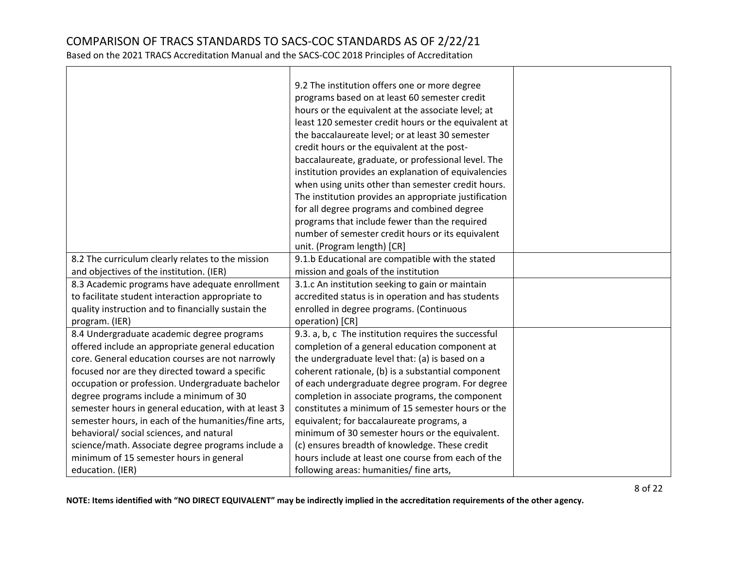Based on the 2021 TRACS Accreditation Manual and the SACS-COC 2018 Principles of Accreditation

|                                                      | 9.2 The institution offers one or more degree         |  |
|------------------------------------------------------|-------------------------------------------------------|--|
|                                                      | programs based on at least 60 semester credit         |  |
|                                                      | hours or the equivalent at the associate level; at    |  |
|                                                      | least 120 semester credit hours or the equivalent at  |  |
|                                                      | the baccalaureate level; or at least 30 semester      |  |
|                                                      | credit hours or the equivalent at the post-           |  |
|                                                      | baccalaureate, graduate, or professional level. The   |  |
|                                                      | institution provides an explanation of equivalencies  |  |
|                                                      | when using units other than semester credit hours.    |  |
|                                                      | The institution provides an appropriate justification |  |
|                                                      | for all degree programs and combined degree           |  |
|                                                      | programs that include fewer than the required         |  |
|                                                      | number of semester credit hours or its equivalent     |  |
|                                                      | unit. (Program length) [CR]                           |  |
| 8.2 The curriculum clearly relates to the mission    | 9.1.b Educational are compatible with the stated      |  |
| and objectives of the institution. (IER)             | mission and goals of the institution                  |  |
| 8.3 Academic programs have adequate enrollment       | 3.1.c An institution seeking to gain or maintain      |  |
| to facilitate student interaction appropriate to     | accredited status is in operation and has students    |  |
| quality instruction and to financially sustain the   | enrolled in degree programs. (Continuous              |  |
| program. (IER)                                       | operation) [CR]                                       |  |
| 8.4 Undergraduate academic degree programs           | 9.3. a, b, c The institution requires the successful  |  |
| offered include an appropriate general education     | completion of a general education component at        |  |
| core. General education courses are not narrowly     | the undergraduate level that: (a) is based on a       |  |
| focused nor are they directed toward a specific      | coherent rationale, (b) is a substantial component    |  |
| occupation or profession. Undergraduate bachelor     | of each undergraduate degree program. For degree      |  |
| degree programs include a minimum of 30              | completion in associate programs, the component       |  |
| semester hours in general education, with at least 3 | constitutes a minimum of 15 semester hours or the     |  |
| semester hours, in each of the humanities/fine arts, | equivalent; for baccalaureate programs, a             |  |
| behavioral/ social sciences, and natural             | minimum of 30 semester hours or the equivalent.       |  |
| science/math. Associate degree programs include a    | (c) ensures breadth of knowledge. These credit        |  |
| minimum of 15 semester hours in general              | hours include at least one course from each of the    |  |
| education. (IER)                                     | following areas: humanities/ fine arts,               |  |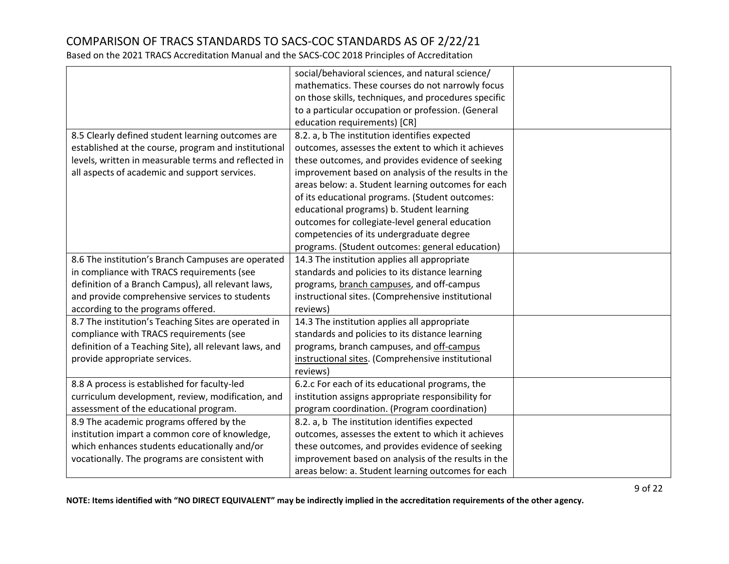Based on the 2021 TRACS Accreditation Manual and the SACS-COC 2018 Principles of Accreditation

|                                                        | social/behavioral sciences, and natural science/     |  |
|--------------------------------------------------------|------------------------------------------------------|--|
|                                                        | mathematics. These courses do not narrowly focus     |  |
|                                                        | on those skills, techniques, and procedures specific |  |
|                                                        | to a particular occupation or profession. (General   |  |
|                                                        | education requirements) [CR]                         |  |
|                                                        |                                                      |  |
| 8.5 Clearly defined student learning outcomes are      | 8.2. a, b The institution identifies expected        |  |
| established at the course, program and institutional   | outcomes, assesses the extent to which it achieves   |  |
| levels, written in measurable terms and reflected in   | these outcomes, and provides evidence of seeking     |  |
| all aspects of academic and support services.          | improvement based on analysis of the results in the  |  |
|                                                        | areas below: a. Student learning outcomes for each   |  |
|                                                        | of its educational programs. (Student outcomes:      |  |
|                                                        | educational programs) b. Student learning            |  |
|                                                        | outcomes for collegiate-level general education      |  |
|                                                        | competencies of its undergraduate degree             |  |
|                                                        | programs. (Student outcomes: general education)      |  |
| 8.6 The institution's Branch Campuses are operated     | 14.3 The institution applies all appropriate         |  |
| in compliance with TRACS requirements (see             | standards and policies to its distance learning      |  |
| definition of a Branch Campus), all relevant laws,     | programs, branch campuses, and off-campus            |  |
| and provide comprehensive services to students         | instructional sites. (Comprehensive institutional    |  |
| according to the programs offered.                     | reviews)                                             |  |
| 8.7 The institution's Teaching Sites are operated in   | 14.3 The institution applies all appropriate         |  |
| compliance with TRACS requirements (see                | standards and policies to its distance learning      |  |
| definition of a Teaching Site), all relevant laws, and | programs, branch campuses, and off-campus            |  |
| provide appropriate services.                          | instructional sites. (Comprehensive institutional    |  |
|                                                        | reviews)                                             |  |
| 8.8 A process is established for faculty-led           | 6.2.c For each of its educational programs, the      |  |
| curriculum development, review, modification, and      | institution assigns appropriate responsibility for   |  |
| assessment of the educational program.                 | program coordination. (Program coordination)         |  |
| 8.9 The academic programs offered by the               | 8.2. a, b The institution identifies expected        |  |
| institution impart a common core of knowledge,         | outcomes, assesses the extent to which it achieves   |  |
| which enhances students educationally and/or           | these outcomes, and provides evidence of seeking     |  |
| vocationally. The programs are consistent with         | improvement based on analysis of the results in the  |  |
|                                                        | areas below: a. Student learning outcomes for each   |  |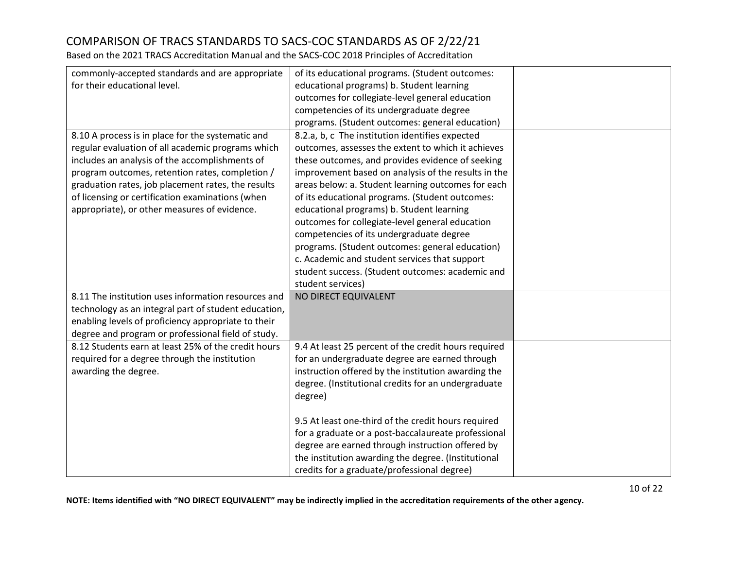Based on the 2021 TRACS Accreditation Manual and the SACS-COC 2018 Principles of Accreditation

| commonly-accepted standards and are appropriate      | of its educational programs. (Student outcomes:      |  |
|------------------------------------------------------|------------------------------------------------------|--|
| for their educational level.                         | educational programs) b. Student learning            |  |
|                                                      | outcomes for collegiate-level general education      |  |
|                                                      | competencies of its undergraduate degree             |  |
|                                                      | programs. (Student outcomes: general education)      |  |
| 8.10 A process is in place for the systematic and    | 8.2.a, b, c The institution identifies expected      |  |
| regular evaluation of all academic programs which    | outcomes, assesses the extent to which it achieves   |  |
| includes an analysis of the accomplishments of       | these outcomes, and provides evidence of seeking     |  |
| program outcomes, retention rates, completion /      | improvement based on analysis of the results in the  |  |
| graduation rates, job placement rates, the results   | areas below: a. Student learning outcomes for each   |  |
| of licensing or certification examinations (when     | of its educational programs. (Student outcomes:      |  |
| appropriate), or other measures of evidence.         | educational programs) b. Student learning            |  |
|                                                      | outcomes for collegiate-level general education      |  |
|                                                      | competencies of its undergraduate degree             |  |
|                                                      | programs. (Student outcomes: general education)      |  |
|                                                      | c. Academic and student services that support        |  |
|                                                      | student success. (Student outcomes: academic and     |  |
|                                                      | student services)                                    |  |
| 8.11 The institution uses information resources and  | NO DIRECT EQUIVALENT                                 |  |
| technology as an integral part of student education, |                                                      |  |
| enabling levels of proficiency appropriate to their  |                                                      |  |
| degree and program or professional field of study.   |                                                      |  |
| 8.12 Students earn at least 25% of the credit hours  | 9.4 At least 25 percent of the credit hours required |  |
| required for a degree through the institution        | for an undergraduate degree are earned through       |  |
| awarding the degree.                                 | instruction offered by the institution awarding the  |  |
|                                                      | degree. (Institutional credits for an undergraduate  |  |
|                                                      | degree)                                              |  |
|                                                      |                                                      |  |
|                                                      | 9.5 At least one-third of the credit hours required  |  |
|                                                      | for a graduate or a post-baccalaureate professional  |  |
|                                                      | degree are earned through instruction offered by     |  |
|                                                      | the institution awarding the degree. (Institutional  |  |
|                                                      | credits for a graduate/professional degree)          |  |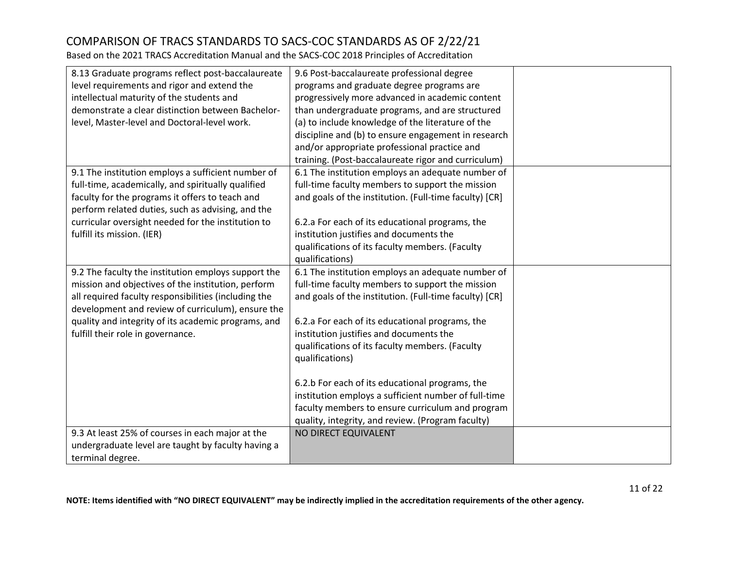| 8.13 Graduate programs reflect post-baccalaureate    | 9.6 Post-baccalaureate professional degree             |  |
|------------------------------------------------------|--------------------------------------------------------|--|
| level requirements and rigor and extend the          | programs and graduate degree programs are              |  |
| intellectual maturity of the students and            | progressively more advanced in academic content        |  |
| demonstrate a clear distinction between Bachelor-    | than undergraduate programs, and are structured        |  |
| level, Master-level and Doctoral-level work.         | (a) to include knowledge of the literature of the      |  |
|                                                      | discipline and (b) to ensure engagement in research    |  |
|                                                      | and/or appropriate professional practice and           |  |
|                                                      | training. (Post-baccalaureate rigor and curriculum)    |  |
| 9.1 The institution employs a sufficient number of   | 6.1 The institution employs an adequate number of      |  |
| full-time, academically, and spiritually qualified   | full-time faculty members to support the mission       |  |
| faculty for the programs it offers to teach and      | and goals of the institution. (Full-time faculty) [CR] |  |
| perform related duties, such as advising, and the    |                                                        |  |
| curricular oversight needed for the institution to   | 6.2.a For each of its educational programs, the        |  |
| fulfill its mission. (IER)                           | institution justifies and documents the                |  |
|                                                      | qualifications of its faculty members. (Faculty        |  |
|                                                      | qualifications)                                        |  |
|                                                      |                                                        |  |
| 9.2 The faculty the institution employs support the  | 6.1 The institution employs an adequate number of      |  |
| mission and objectives of the institution, perform   | full-time faculty members to support the mission       |  |
| all required faculty responsibilities (including the | and goals of the institution. (Full-time faculty) [CR] |  |
| development and review of curriculum), ensure the    |                                                        |  |
| quality and integrity of its academic programs, and  | 6.2.a For each of its educational programs, the        |  |
| fulfill their role in governance.                    | institution justifies and documents the                |  |
|                                                      | qualifications of its faculty members. (Faculty        |  |
|                                                      | qualifications)                                        |  |
|                                                      |                                                        |  |
|                                                      | 6.2.b For each of its educational programs, the        |  |
|                                                      | institution employs a sufficient number of full-time   |  |
|                                                      | faculty members to ensure curriculum and program       |  |
|                                                      | quality, integrity, and review. (Program faculty)      |  |
| 9.3 At least 25% of courses in each major at the     | NO DIRECT EQUIVALENT                                   |  |
| undergraduate level are taught by faculty having a   |                                                        |  |
| terminal degree.                                     |                                                        |  |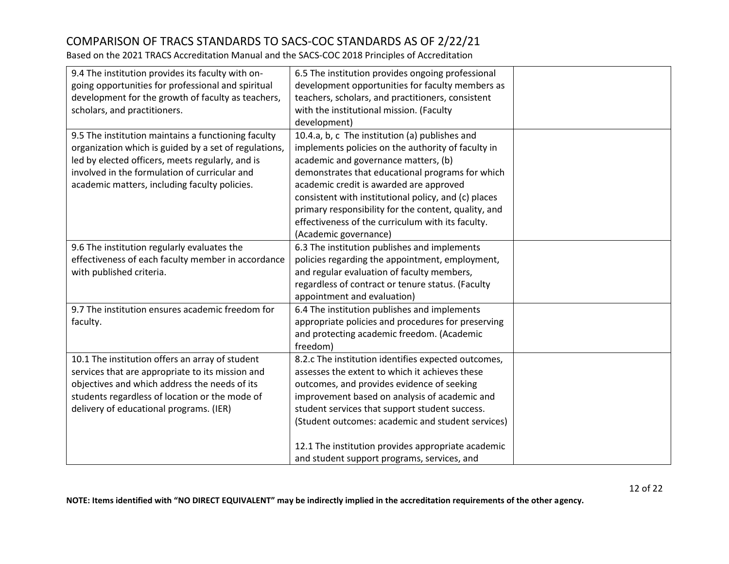| 9.4 The institution provides its faculty with on-     | 6.5 The institution provides ongoing professional    |  |
|-------------------------------------------------------|------------------------------------------------------|--|
| going opportunities for professional and spiritual    | development opportunities for faculty members as     |  |
| development for the growth of faculty as teachers,    | teachers, scholars, and practitioners, consistent    |  |
| scholars, and practitioners.                          | with the institutional mission. (Faculty             |  |
|                                                       | development)                                         |  |
| 9.5 The institution maintains a functioning faculty   | 10.4.a, b, c The institution (a) publishes and       |  |
| organization which is guided by a set of regulations, | implements policies on the authority of faculty in   |  |
| led by elected officers, meets regularly, and is      | academic and governance matters, (b)                 |  |
| involved in the formulation of curricular and         | demonstrates that educational programs for which     |  |
| academic matters, including faculty policies.         | academic credit is awarded are approved              |  |
|                                                       | consistent with institutional policy, and (c) places |  |
|                                                       | primary responsibility for the content, quality, and |  |
|                                                       | effectiveness of the curriculum with its faculty.    |  |
|                                                       | (Academic governance)                                |  |
| 9.6 The institution regularly evaluates the           | 6.3 The institution publishes and implements         |  |
| effectiveness of each faculty member in accordance    | policies regarding the appointment, employment,      |  |
| with published criteria.                              | and regular evaluation of faculty members,           |  |
|                                                       | regardless of contract or tenure status. (Faculty    |  |
|                                                       | appointment and evaluation)                          |  |
| 9.7 The institution ensures academic freedom for      | 6.4 The institution publishes and implements         |  |
| faculty.                                              | appropriate policies and procedures for preserving   |  |
|                                                       | and protecting academic freedom. (Academic           |  |
|                                                       | freedom)                                             |  |
| 10.1 The institution offers an array of student       | 8.2.c The institution identifies expected outcomes,  |  |
| services that are appropriate to its mission and      | assesses the extent to which it achieves these       |  |
| objectives and which address the needs of its         | outcomes, and provides evidence of seeking           |  |
| students regardless of location or the mode of        | improvement based on analysis of academic and        |  |
| delivery of educational programs. (IER)               | student services that support student success.       |  |
|                                                       | (Student outcomes: academic and student services)    |  |
|                                                       | 12.1 The institution provides appropriate academic   |  |
|                                                       | and student support programs, services, and          |  |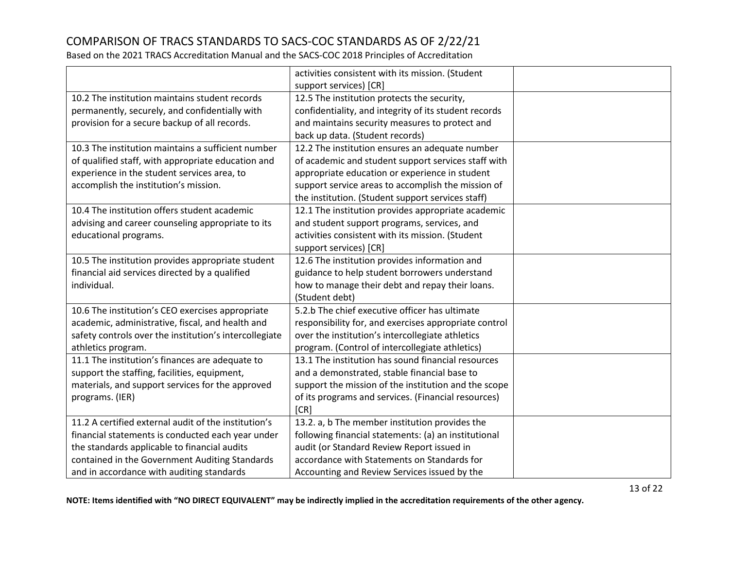Based on the 2021 TRACS Accreditation Manual and the SACS-COC 2018 Principles of Accreditation

|                                                        | activities consistent with its mission. (Student      |  |
|--------------------------------------------------------|-------------------------------------------------------|--|
|                                                        | support services) [CR]                                |  |
| 10.2 The institution maintains student records         | 12.5 The institution protects the security,           |  |
| permanently, securely, and confidentially with         | confidentiality, and integrity of its student records |  |
| provision for a secure backup of all records.          | and maintains security measures to protect and        |  |
|                                                        | back up data. (Student records)                       |  |
| 10.3 The institution maintains a sufficient number     | 12.2 The institution ensures an adequate number       |  |
| of qualified staff, with appropriate education and     | of academic and student support services staff with   |  |
| experience in the student services area, to            | appropriate education or experience in student        |  |
| accomplish the institution's mission.                  | support service areas to accomplish the mission of    |  |
|                                                        | the institution. (Student support services staff)     |  |
| 10.4 The institution offers student academic           | 12.1 The institution provides appropriate academic    |  |
| advising and career counseling appropriate to its      | and student support programs, services, and           |  |
| educational programs.                                  | activities consistent with its mission. (Student      |  |
|                                                        | support services) [CR]                                |  |
| 10.5 The institution provides appropriate student      | 12.6 The institution provides information and         |  |
| financial aid services directed by a qualified         | guidance to help student borrowers understand         |  |
| individual.                                            | how to manage their debt and repay their loans.       |  |
|                                                        | (Student debt)                                        |  |
| 10.6 The institution's CEO exercises appropriate       | 5.2.b The chief executive officer has ultimate        |  |
| academic, administrative, fiscal, and health and       | responsibility for, and exercises appropriate control |  |
| safety controls over the institution's intercollegiate | over the institution's intercollegiate athletics      |  |
| athletics program.                                     | program. (Control of intercollegiate athletics)       |  |
| 11.1 The institution's finances are adequate to        | 13.1 The institution has sound financial resources    |  |
| support the staffing, facilities, equipment,           | and a demonstrated, stable financial base to          |  |
| materials, and support services for the approved       | support the mission of the institution and the scope  |  |
| programs. (IER)                                        | of its programs and services. (Financial resources)   |  |
|                                                        | [CR]                                                  |  |
| 11.2 A certified external audit of the institution's   | 13.2. a, b The member institution provides the        |  |
| financial statements is conducted each year under      | following financial statements: (a) an institutional  |  |
| the standards applicable to financial audits           | audit (or Standard Review Report issued in            |  |
| contained in the Government Auditing Standards         | accordance with Statements on Standards for           |  |
| and in accordance with auditing standards              | Accounting and Review Services issued by the          |  |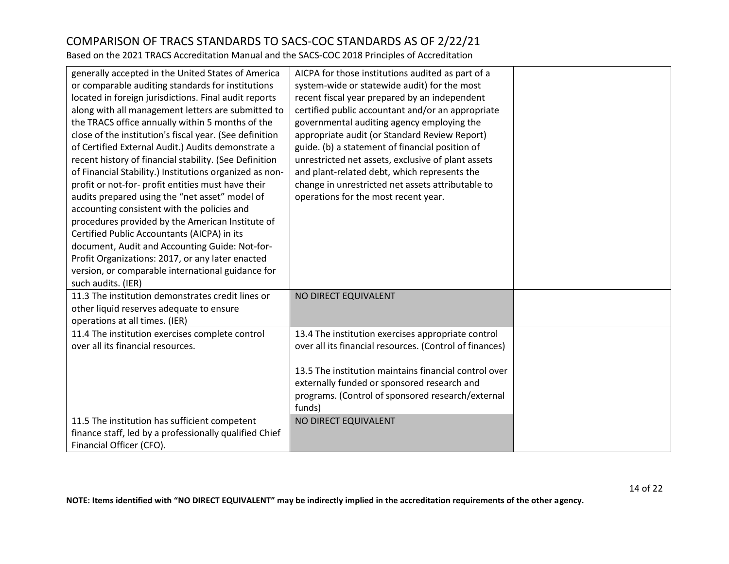| generally accepted in the United States of America<br>or comparable auditing standards for institutions<br>located in foreign jurisdictions. Final audit reports<br>along with all management letters are submitted to<br>the TRACS office annually within 5 months of the<br>close of the institution's fiscal year. (See definition | AICPA for those institutions audited as part of a<br>system-wide or statewide audit) for the most<br>recent fiscal year prepared by an independent<br>certified public accountant and/or an appropriate<br>governmental auditing agency employing the<br>appropriate audit (or Standard Review Report) |  |
|---------------------------------------------------------------------------------------------------------------------------------------------------------------------------------------------------------------------------------------------------------------------------------------------------------------------------------------|--------------------------------------------------------------------------------------------------------------------------------------------------------------------------------------------------------------------------------------------------------------------------------------------------------|--|
| of Certified External Audit.) Audits demonstrate a<br>recent history of financial stability. (See Definition                                                                                                                                                                                                                          | guide. (b) a statement of financial position of<br>unrestricted net assets, exclusive of plant assets                                                                                                                                                                                                  |  |
| of Financial Stability.) Institutions organized as non-                                                                                                                                                                                                                                                                               | and plant-related debt, which represents the                                                                                                                                                                                                                                                           |  |
| profit or not-for- profit entities must have their                                                                                                                                                                                                                                                                                    | change in unrestricted net assets attributable to                                                                                                                                                                                                                                                      |  |
| audits prepared using the "net asset" model of<br>accounting consistent with the policies and                                                                                                                                                                                                                                         | operations for the most recent year.                                                                                                                                                                                                                                                                   |  |
| procedures provided by the American Institute of                                                                                                                                                                                                                                                                                      |                                                                                                                                                                                                                                                                                                        |  |
| Certified Public Accountants (AICPA) in its                                                                                                                                                                                                                                                                                           |                                                                                                                                                                                                                                                                                                        |  |
| document, Audit and Accounting Guide: Not-for-                                                                                                                                                                                                                                                                                        |                                                                                                                                                                                                                                                                                                        |  |
| Profit Organizations: 2017, or any later enacted                                                                                                                                                                                                                                                                                      |                                                                                                                                                                                                                                                                                                        |  |
| version, or comparable international guidance for                                                                                                                                                                                                                                                                                     |                                                                                                                                                                                                                                                                                                        |  |
| such audits. (IER)                                                                                                                                                                                                                                                                                                                    |                                                                                                                                                                                                                                                                                                        |  |
| 11.3 The institution demonstrates credit lines or                                                                                                                                                                                                                                                                                     | NO DIRECT EQUIVALENT                                                                                                                                                                                                                                                                                   |  |
| other liquid reserves adequate to ensure                                                                                                                                                                                                                                                                                              |                                                                                                                                                                                                                                                                                                        |  |
| operations at all times. (IER)                                                                                                                                                                                                                                                                                                        |                                                                                                                                                                                                                                                                                                        |  |
| 11.4 The institution exercises complete control<br>over all its financial resources.                                                                                                                                                                                                                                                  | 13.4 The institution exercises appropriate control<br>over all its financial resources. (Control of finances)                                                                                                                                                                                          |  |
|                                                                                                                                                                                                                                                                                                                                       |                                                                                                                                                                                                                                                                                                        |  |
|                                                                                                                                                                                                                                                                                                                                       | 13.5 The institution maintains financial control over<br>externally funded or sponsored research and<br>programs. (Control of sponsored research/external                                                                                                                                              |  |
|                                                                                                                                                                                                                                                                                                                                       | funds)                                                                                                                                                                                                                                                                                                 |  |
| 11.5 The institution has sufficient competent                                                                                                                                                                                                                                                                                         | NO DIRECT EQUIVALENT                                                                                                                                                                                                                                                                                   |  |
| finance staff, led by a professionally qualified Chief                                                                                                                                                                                                                                                                                |                                                                                                                                                                                                                                                                                                        |  |
| Financial Officer (CFO).                                                                                                                                                                                                                                                                                                              |                                                                                                                                                                                                                                                                                                        |  |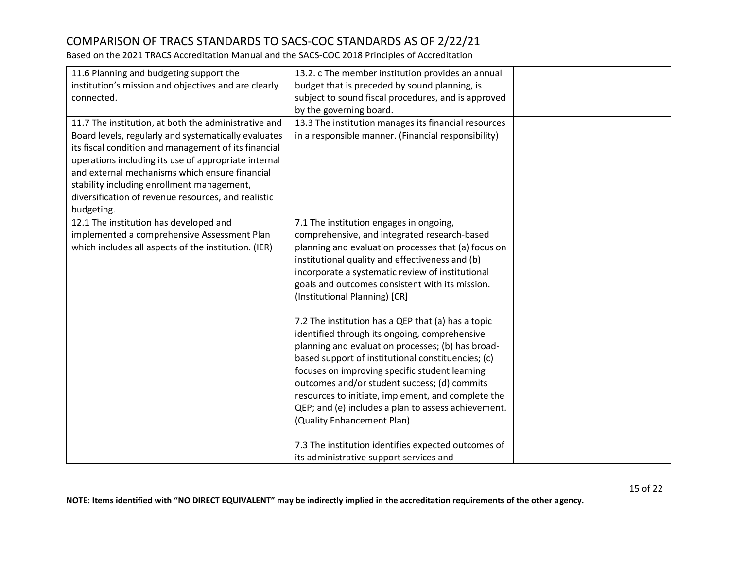| 11.6 Planning and budgeting support the              | 13.2. c The member institution provides an annual    |  |
|------------------------------------------------------|------------------------------------------------------|--|
| institution's mission and objectives and are clearly | budget that is preceded by sound planning, is        |  |
| connected.                                           | subject to sound fiscal procedures, and is approved  |  |
|                                                      | by the governing board.                              |  |
| 11.7 The institution, at both the administrative and | 13.3 The institution manages its financial resources |  |
| Board levels, regularly and systematically evaluates | in a responsible manner. (Financial responsibility)  |  |
| its fiscal condition and management of its financial |                                                      |  |
| operations including its use of appropriate internal |                                                      |  |
| and external mechanisms which ensure financial       |                                                      |  |
| stability including enrollment management,           |                                                      |  |
| diversification of revenue resources, and realistic  |                                                      |  |
| budgeting.                                           |                                                      |  |
| 12.1 The institution has developed and               | 7.1 The institution engages in ongoing,              |  |
| implemented a comprehensive Assessment Plan          | comprehensive, and integrated research-based         |  |
| which includes all aspects of the institution. (IER) | planning and evaluation processes that (a) focus on  |  |
|                                                      | institutional quality and effectiveness and (b)      |  |
|                                                      | incorporate a systematic review of institutional     |  |
|                                                      | goals and outcomes consistent with its mission.      |  |
|                                                      | (Institutional Planning) [CR]                        |  |
|                                                      |                                                      |  |
|                                                      | 7.2 The institution has a QEP that (a) has a topic   |  |
|                                                      | identified through its ongoing, comprehensive        |  |
|                                                      | planning and evaluation processes; (b) has broad-    |  |
|                                                      | based support of institutional constituencies; (c)   |  |
|                                                      | focuses on improving specific student learning       |  |
|                                                      | outcomes and/or student success; (d) commits         |  |
|                                                      | resources to initiate, implement, and complete the   |  |
|                                                      | QEP; and (e) includes a plan to assess achievement.  |  |
|                                                      | (Quality Enhancement Plan)                           |  |
|                                                      |                                                      |  |
|                                                      | 7.3 The institution identifies expected outcomes of  |  |
|                                                      | its administrative support services and              |  |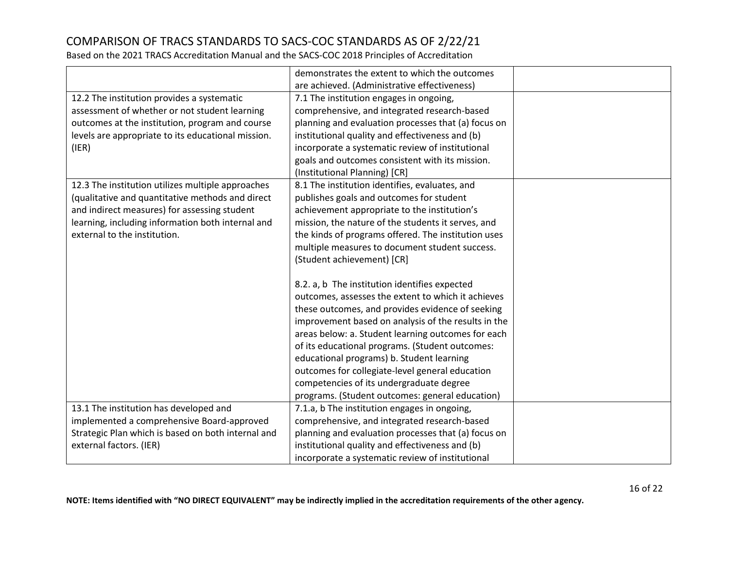Based on the 2021 TRACS Accreditation Manual and the SACS-COC 2018 Principles of Accreditation

|                                                    | demonstrates the extent to which the outcomes       |  |
|----------------------------------------------------|-----------------------------------------------------|--|
|                                                    |                                                     |  |
|                                                    | are achieved. (Administrative effectiveness)        |  |
| 12.2 The institution provides a systematic         | 7.1 The institution engages in ongoing,             |  |
| assessment of whether or not student learning      | comprehensive, and integrated research-based        |  |
| outcomes at the institution, program and course    | planning and evaluation processes that (a) focus on |  |
| levels are appropriate to its educational mission. | institutional quality and effectiveness and (b)     |  |
| (IER)                                              | incorporate a systematic review of institutional    |  |
|                                                    | goals and outcomes consistent with its mission.     |  |
|                                                    | (Institutional Planning) [CR]                       |  |
| 12.3 The institution utilizes multiple approaches  | 8.1 The institution identifies, evaluates, and      |  |
| (qualitative and quantitative methods and direct   | publishes goals and outcomes for student            |  |
| and indirect measures) for assessing student       | achievement appropriate to the institution's        |  |
| learning, including information both internal and  | mission, the nature of the students it serves, and  |  |
| external to the institution.                       | the kinds of programs offered. The institution uses |  |
|                                                    | multiple measures to document student success.      |  |
|                                                    | (Student achievement) [CR]                          |  |
|                                                    |                                                     |  |
|                                                    | 8.2. a, b The institution identifies expected       |  |
|                                                    | outcomes, assesses the extent to which it achieves  |  |
|                                                    | these outcomes, and provides evidence of seeking    |  |
|                                                    | improvement based on analysis of the results in the |  |
|                                                    | areas below: a. Student learning outcomes for each  |  |
|                                                    | of its educational programs. (Student outcomes:     |  |
|                                                    | educational programs) b. Student learning           |  |
|                                                    | outcomes for collegiate-level general education     |  |
|                                                    | competencies of its undergraduate degree            |  |
|                                                    | programs. (Student outcomes: general education)     |  |
| 13.1 The institution has developed and             | 7.1.a, b The institution engages in ongoing,        |  |
| implemented a comprehensive Board-approved         | comprehensive, and integrated research-based        |  |
| Strategic Plan which is based on both internal and | planning and evaluation processes that (a) focus on |  |
| external factors. (IER)                            | institutional quality and effectiveness and (b)     |  |
|                                                    | incorporate a systematic review of institutional    |  |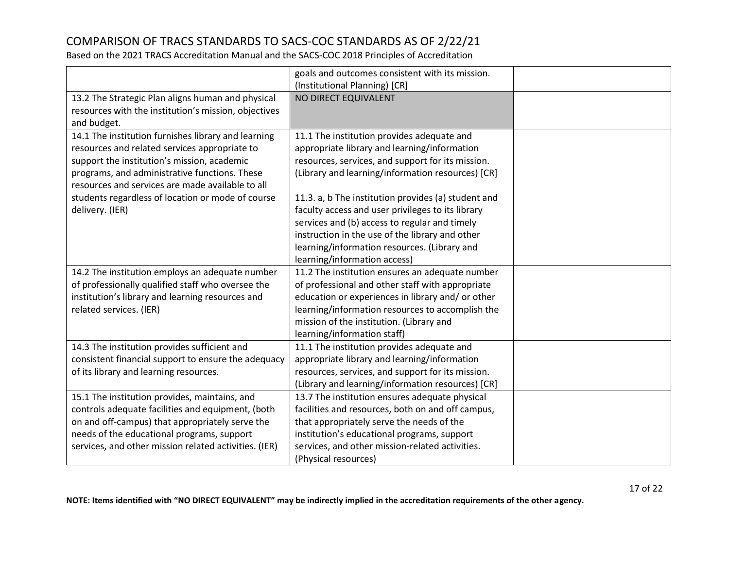|                                                       | goals and outcomes consistent with its mission.     |  |
|-------------------------------------------------------|-----------------------------------------------------|--|
|                                                       | (Institutional Planning) [CR]                       |  |
| 13.2 The Strategic Plan aligns human and physical     | NO DIRECT EQUIVALENT                                |  |
| resources with the institution's mission, objectives  |                                                     |  |
| and budget.                                           |                                                     |  |
| 14.1 The institution furnishes library and learning   | 11.1 The institution provides adequate and          |  |
| resources and related services appropriate to         | appropriate library and learning/information        |  |
| support the institution's mission, academic           | resources, services, and support for its mission.   |  |
| programs, and administrative functions. These         | (Library and learning/information resources) [CR]   |  |
| resources and services are made available to all      |                                                     |  |
| students regardless of location or mode of course     | 11.3. a, b The institution provides (a) student and |  |
| delivery. (IER)                                       | faculty access and user privileges to its library   |  |
|                                                       | services and (b) access to regular and timely       |  |
|                                                       | instruction in the use of the library and other     |  |
|                                                       | learning/information resources. (Library and        |  |
|                                                       | learning/information access)                        |  |
| 14.2 The institution employs an adequate number       | 11.2 The institution ensures an adequate number     |  |
| of professionally qualified staff who oversee the     | of professional and other staff with appropriate    |  |
| institution's library and learning resources and      | education or experiences in library and/ or other   |  |
| related services. (IER)                               | learning/information resources to accomplish the    |  |
|                                                       | mission of the institution. (Library and            |  |
|                                                       | learning/information staff)                         |  |
| 14.3 The institution provides sufficient and          | 11.1 The institution provides adequate and          |  |
| consistent financial support to ensure the adequacy   | appropriate library and learning/information        |  |
| of its library and learning resources.                | resources, services, and support for its mission.   |  |
|                                                       | (Library and learning/information resources) [CR]   |  |
| 15.1 The institution provides, maintains, and         | 13.7 The institution ensures adequate physical      |  |
| controls adequate facilities and equipment, (both     | facilities and resources, both on and off campus,   |  |
| on and off-campus) that appropriately serve the       | that appropriately serve the needs of the           |  |
| needs of the educational programs, support            | institution's educational programs, support         |  |
| services, and other mission related activities. (IER) | services, and other mission-related activities.     |  |
|                                                       | (Physical resources)                                |  |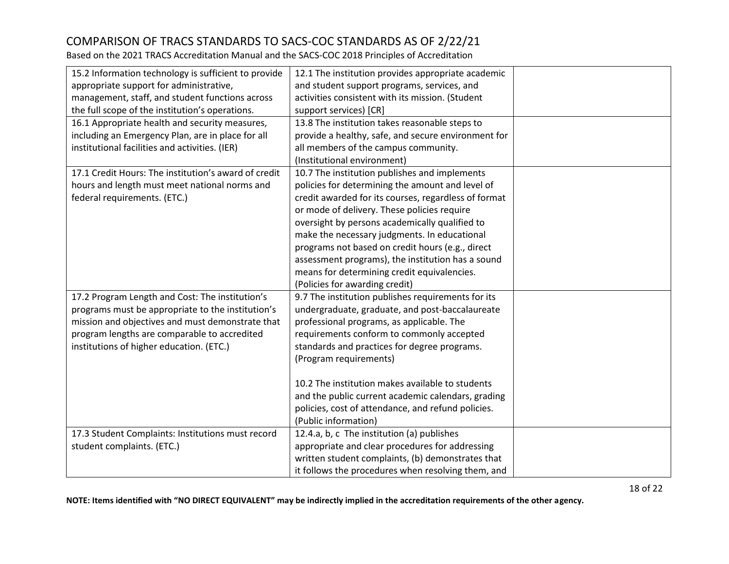Based on the 2021 TRACS Accreditation Manual and the SACS-COC 2018 Principles of Accreditation

| 15.2 Information technology is sufficient to provide | 12.1 The institution provides appropriate academic   |  |
|------------------------------------------------------|------------------------------------------------------|--|
| appropriate support for administrative,              | and student support programs, services, and          |  |
| management, staff, and student functions across      | activities consistent with its mission. (Student     |  |
| the full scope of the institution's operations.      | support services) [CR]                               |  |
| 16.1 Appropriate health and security measures,       | 13.8 The institution takes reasonable steps to       |  |
| including an Emergency Plan, are in place for all    | provide a healthy, safe, and secure environment for  |  |
| institutional facilities and activities. (IER)       | all members of the campus community.                 |  |
|                                                      | (Institutional environment)                          |  |
| 17.1 Credit Hours: The institution's award of credit | 10.7 The institution publishes and implements        |  |
| hours and length must meet national norms and        | policies for determining the amount and level of     |  |
| federal requirements. (ETC.)                         | credit awarded for its courses, regardless of format |  |
|                                                      | or mode of delivery. These policies require          |  |
|                                                      | oversight by persons academically qualified to       |  |
|                                                      | make the necessary judgments. In educational         |  |
|                                                      | programs not based on credit hours (e.g., direct     |  |
|                                                      | assessment programs), the institution has a sound    |  |
|                                                      | means for determining credit equivalencies.          |  |
|                                                      | (Policies for awarding credit)                       |  |
| 17.2 Program Length and Cost: The institution's      | 9.7 The institution publishes requirements for its   |  |
| programs must be appropriate to the institution's    | undergraduate, graduate, and post-baccalaureate      |  |
| mission and objectives and must demonstrate that     | professional programs, as applicable. The            |  |
| program lengths are comparable to accredited         | requirements conform to commonly accepted            |  |
| institutions of higher education. (ETC.)             | standards and practices for degree programs.         |  |
|                                                      | (Program requirements)                               |  |
|                                                      |                                                      |  |
|                                                      | 10.2 The institution makes available to students     |  |
|                                                      | and the public current academic calendars, grading   |  |
|                                                      | policies, cost of attendance, and refund policies.   |  |
|                                                      | (Public information)                                 |  |
| 17.3 Student Complaints: Institutions must record    | 12.4.a, b, c The institution (a) publishes           |  |
| student complaints. (ETC.)                           | appropriate and clear procedures for addressing      |  |
|                                                      | written student complaints, (b) demonstrates that    |  |
|                                                      | it follows the procedures when resolving them, and   |  |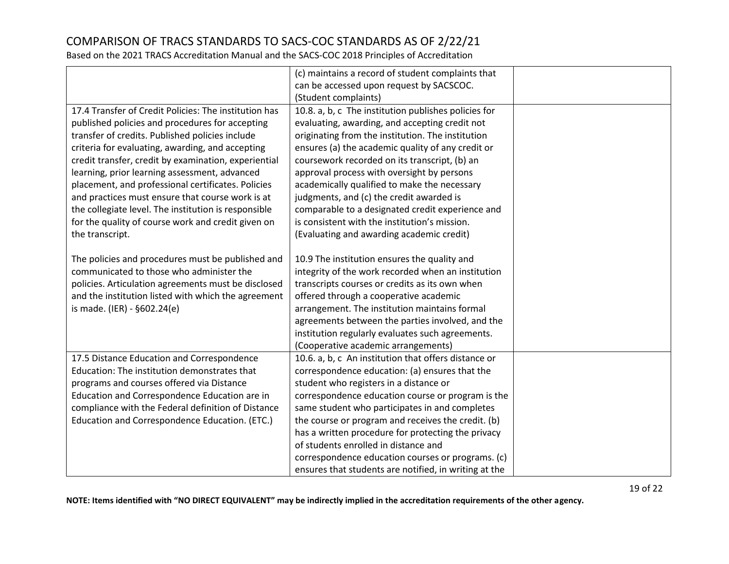Based on the 2021 TRACS Accreditation Manual and the SACS-COC 2018 Principles of Accreditation

|                                                       | (c) maintains a record of student complaints that     |  |
|-------------------------------------------------------|-------------------------------------------------------|--|
|                                                       | can be accessed upon request by SACSCOC.              |  |
|                                                       | (Student complaints)                                  |  |
| 17.4 Transfer of Credit Policies: The institution has | 10.8. a, b, c The institution publishes policies for  |  |
| published policies and procedures for accepting       | evaluating, awarding, and accepting credit not        |  |
| transfer of credits. Published policies include       | originating from the institution. The institution     |  |
| criteria for evaluating, awarding, and accepting      | ensures (a) the academic quality of any credit or     |  |
| credit transfer, credit by examination, experiential  | coursework recorded on its transcript, (b) an         |  |
| learning, prior learning assessment, advanced         | approval process with oversight by persons            |  |
| placement, and professional certificates. Policies    | academically qualified to make the necessary          |  |
| and practices must ensure that course work is at      | judgments, and (c) the credit awarded is              |  |
| the collegiate level. The institution is responsible  | comparable to a designated credit experience and      |  |
| for the quality of course work and credit given on    | is consistent with the institution's mission.         |  |
| the transcript.                                       | (Evaluating and awarding academic credit)             |  |
|                                                       |                                                       |  |
| The policies and procedures must be published and     | 10.9 The institution ensures the quality and          |  |
| communicated to those who administer the              | integrity of the work recorded when an institution    |  |
| policies. Articulation agreements must be disclosed   | transcripts courses or credits as its own when        |  |
| and the institution listed with which the agreement   | offered through a cooperative academic                |  |
| is made. (IER) - §602.24(e)                           | arrangement. The institution maintains formal         |  |
|                                                       | agreements between the parties involved, and the      |  |
|                                                       | institution regularly evaluates such agreements.      |  |
|                                                       | (Cooperative academic arrangements)                   |  |
| 17.5 Distance Education and Correspondence            | 10.6. a, b, c An institution that offers distance or  |  |
| Education: The institution demonstrates that          | correspondence education: (a) ensures that the        |  |
| programs and courses offered via Distance             | student who registers in a distance or                |  |
| Education and Correspondence Education are in         | correspondence education course or program is the     |  |
| compliance with the Federal definition of Distance    | same student who participates in and completes        |  |
| Education and Correspondence Education. (ETC.)        | the course or program and receives the credit. (b)    |  |
|                                                       | has a written procedure for protecting the privacy    |  |
|                                                       | of students enrolled in distance and                  |  |
|                                                       | correspondence education courses or programs. (c)     |  |
|                                                       | ensures that students are notified, in writing at the |  |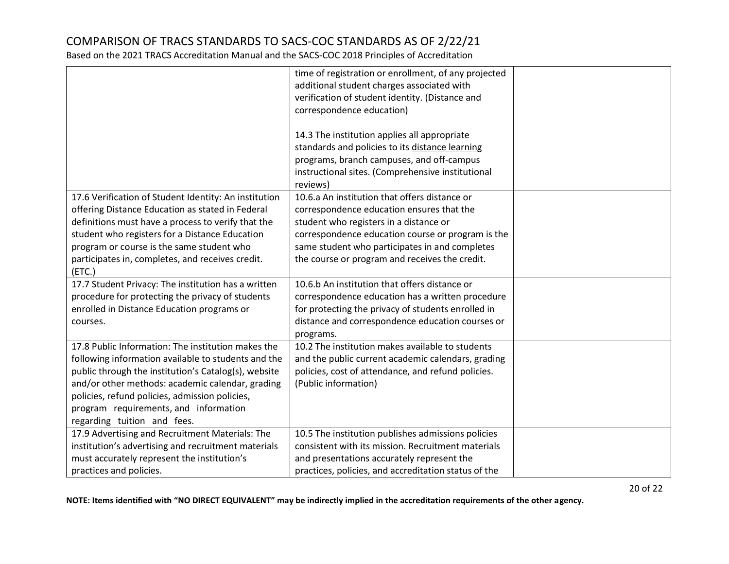Based on the 2021 TRACS Accreditation Manual and the SACS-COC 2018 Principles of Accreditation

|                                                       | time of registration or enrollment, of any projected<br>additional student charges associated with |  |
|-------------------------------------------------------|----------------------------------------------------------------------------------------------------|--|
|                                                       | verification of student identity. (Distance and                                                    |  |
|                                                       | correspondence education)                                                                          |  |
|                                                       |                                                                                                    |  |
|                                                       | 14.3 The institution applies all appropriate                                                       |  |
|                                                       | standards and policies to its distance learning                                                    |  |
|                                                       | programs, branch campuses, and off-campus                                                          |  |
|                                                       | instructional sites. (Comprehensive institutional                                                  |  |
|                                                       | reviews)                                                                                           |  |
| 17.6 Verification of Student Identity: An institution | 10.6.a An institution that offers distance or                                                      |  |
| offering Distance Education as stated in Federal      | correspondence education ensures that the                                                          |  |
| definitions must have a process to verify that the    | student who registers in a distance or                                                             |  |
| student who registers for a Distance Education        | correspondence education course or program is the                                                  |  |
| program or course is the same student who             | same student who participates in and completes                                                     |  |
| participates in, completes, and receives credit.      | the course or program and receives the credit.                                                     |  |
| (ETC.)                                                |                                                                                                    |  |
| 17.7 Student Privacy: The institution has a written   | 10.6.b An institution that offers distance or                                                      |  |
| procedure for protecting the privacy of students      | correspondence education has a written procedure                                                   |  |
| enrolled in Distance Education programs or            | for protecting the privacy of students enrolled in                                                 |  |
| courses.                                              | distance and correspondence education courses or                                                   |  |
|                                                       | programs.                                                                                          |  |
| 17.8 Public Information: The institution makes the    | 10.2 The institution makes available to students                                                   |  |
| following information available to students and the   | and the public current academic calendars, grading                                                 |  |
| public through the institution's Catalog(s), website  | policies, cost of attendance, and refund policies.                                                 |  |
| and/or other methods: academic calendar, grading      | (Public information)                                                                               |  |
| policies, refund policies, admission policies,        |                                                                                                    |  |
| program requirements, and information                 |                                                                                                    |  |
| regarding tuition and fees.                           |                                                                                                    |  |
| 17.9 Advertising and Recruitment Materials: The       | 10.5 The institution publishes admissions policies                                                 |  |
| institution's advertising and recruitment materials   | consistent with its mission. Recruitment materials                                                 |  |
| must accurately represent the institution's           | and presentations accurately represent the                                                         |  |
| practices and policies.                               | practices, policies, and accreditation status of the                                               |  |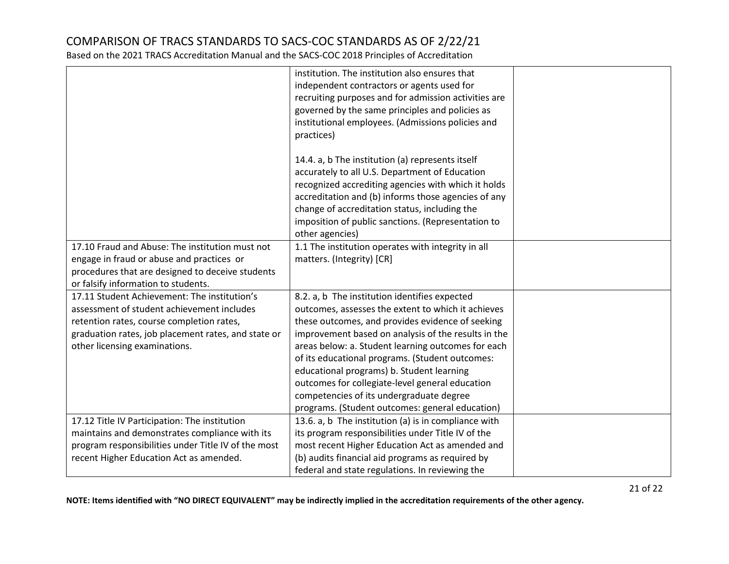|                                                                                                                                                                                                                                 | institution. The institution also ensures that<br>independent contractors or agents used for<br>recruiting purposes and for admission activities are<br>governed by the same principles and policies as<br>institutional employees. (Admissions policies and                                                                                                                                                            |  |
|---------------------------------------------------------------------------------------------------------------------------------------------------------------------------------------------------------------------------------|-------------------------------------------------------------------------------------------------------------------------------------------------------------------------------------------------------------------------------------------------------------------------------------------------------------------------------------------------------------------------------------------------------------------------|--|
|                                                                                                                                                                                                                                 | practices)<br>14.4. a, b The institution (a) represents itself<br>accurately to all U.S. Department of Education<br>recognized accrediting agencies with which it holds<br>accreditation and (b) informs those agencies of any<br>change of accreditation status, including the<br>imposition of public sanctions. (Representation to                                                                                   |  |
| 17.10 Fraud and Abuse: The institution must not                                                                                                                                                                                 | other agencies)<br>1.1 The institution operates with integrity in all                                                                                                                                                                                                                                                                                                                                                   |  |
| engage in fraud or abuse and practices or<br>procedures that are designed to deceive students<br>or falsify information to students.                                                                                            | matters. (Integrity) [CR]                                                                                                                                                                                                                                                                                                                                                                                               |  |
| 17.11 Student Achievement: The institution's<br>assessment of student achievement includes<br>retention rates, course completion rates,<br>graduation rates, job placement rates, and state or<br>other licensing examinations. | 8.2. a, b The institution identifies expected<br>outcomes, assesses the extent to which it achieves<br>these outcomes, and provides evidence of seeking<br>improvement based on analysis of the results in the<br>areas below: a. Student learning outcomes for each<br>of its educational programs. (Student outcomes:<br>educational programs) b. Student learning<br>outcomes for collegiate-level general education |  |
|                                                                                                                                                                                                                                 | competencies of its undergraduate degree<br>programs. (Student outcomes: general education)                                                                                                                                                                                                                                                                                                                             |  |
| 17.12 Title IV Participation: The institution<br>maintains and demonstrates compliance with its                                                                                                                                 | 13.6. a, b The institution (a) is in compliance with<br>its program responsibilities under Title IV of the                                                                                                                                                                                                                                                                                                              |  |
| program responsibilities under Title IV of the most<br>recent Higher Education Act as amended.                                                                                                                                  | most recent Higher Education Act as amended and<br>(b) audits financial aid programs as required by                                                                                                                                                                                                                                                                                                                     |  |
|                                                                                                                                                                                                                                 | federal and state regulations. In reviewing the                                                                                                                                                                                                                                                                                                                                                                         |  |